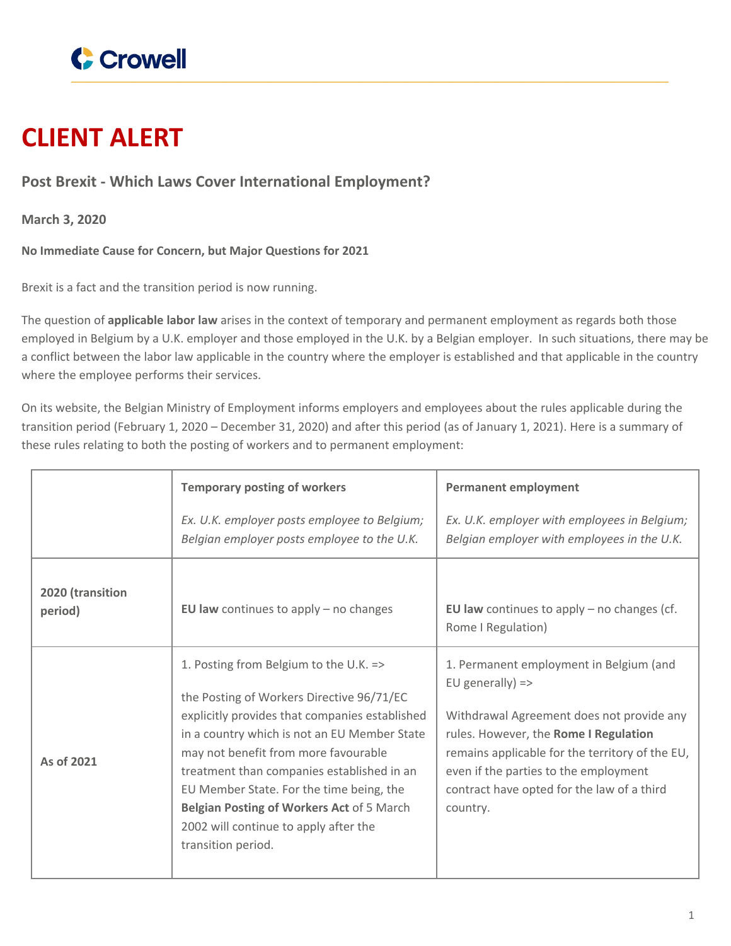

# **CLIENT ALERT**

# **Post Brexit - Which Laws Cover International Employment?**

**March 3, 2020**

## **No Immediate Cause for Concern, but Major Questions for 2021**

Brexit is a fact and the transition period is now running.

The question of **applicable labor law** arises in the context of temporary and permanent employment as regards both those employed in Belgium by a U.K. employer and those employed in the U.K. by a Belgian employer. In such situations, there may be a conflict between the labor law applicable in the country where the employer is established and that applicable in the country where the employee performs their services.

On its website, the Belgian Ministry of Employment informs employers and employees about the rules applicable during the transition period (February 1, 2020 – December 31, 2020) and after this period (as of January 1, 2021). Here is a summary of these rules relating to both the posting of workers and to permanent employment:

|                             | <b>Temporary posting of workers</b>                                                                                                                                                                                                                                                                                                                                                                                                 | <b>Permanent employment</b>                                                                                                                                                                                                                                                                                        |
|-----------------------------|-------------------------------------------------------------------------------------------------------------------------------------------------------------------------------------------------------------------------------------------------------------------------------------------------------------------------------------------------------------------------------------------------------------------------------------|--------------------------------------------------------------------------------------------------------------------------------------------------------------------------------------------------------------------------------------------------------------------------------------------------------------------|
|                             | Ex. U.K. employer posts employee to Belgium;<br>Belgian employer posts employee to the U.K.                                                                                                                                                                                                                                                                                                                                         | Ex. U.K. employer with employees in Belgium;<br>Belgian employer with employees in the U.K.                                                                                                                                                                                                                        |
| 2020 (transition<br>period) | EU law continues to apply $-$ no changes                                                                                                                                                                                                                                                                                                                                                                                            | EU law continues to apply $-$ no changes (cf.<br>Rome I Regulation)                                                                                                                                                                                                                                                |
| As of 2021                  | 1. Posting from Belgium to the U.K. =><br>the Posting of Workers Directive 96/71/EC<br>explicitly provides that companies established<br>in a country which is not an EU Member State<br>may not benefit from more favourable<br>treatment than companies established in an<br>EU Member State. For the time being, the<br>Belgian Posting of Workers Act of 5 March<br>2002 will continue to apply after the<br>transition period. | 1. Permanent employment in Belgium (and<br>EU generally) $\Rightarrow$<br>Withdrawal Agreement does not provide any<br>rules. However, the Rome I Regulation<br>remains applicable for the territory of the EU,<br>even if the parties to the employment<br>contract have opted for the law of a third<br>country. |